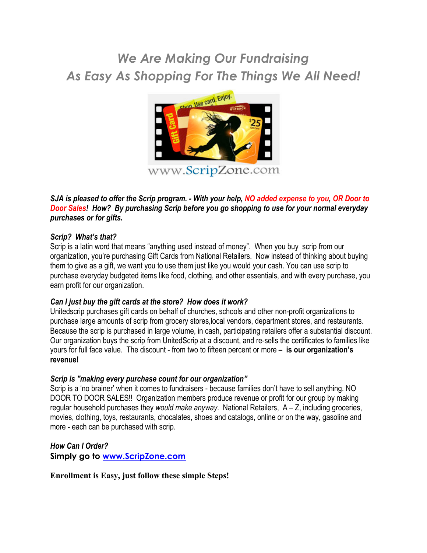# *We Are Making Our Fundraising As Easy As Shopping For The Things We All Need!*



### *SJA is pleased to offer the Scrip program. - With your help, NO added expense to you, OR Door to Door Sales! How? By purchasing Scrip before you go shopping to use for your normal everyday purchases or for gifts.*

### *Scrip? What's that?*

Scrip is a latin word that means "anything used instead of money". When you buy scrip from our organization, you're purchasing Gift Cards from National Retailers. Now instead of thinking about buying them to give as a gift, we want you to use them just like you would your cash. You can use scrip to purchase everyday budgeted items like food, clothing, and other essentials, and with every purchase, you earn profit for our organization.

### *Can I just buy the gift cards at the store? How does it work?*

Unitedscrip purchases gift cards on behalf of churches, schools and other non-profit organizations to purchase large amounts of scrip from grocery stores,local vendors, department stores, and restaurants. Because the scrip is purchased in large volume, in cash, participating retailers offer a substantial discount. Our organization buys the scrip from UnitedScrip at a discount, and re-sells the certificates to families like yours for full face value. The discount - from two to fifteen percent or more **– is our organization's revenue!** 

### *Scrip is "making every purchase count for our organization"*

Scrip is a 'no brainer' when it comes to fundraisers - because families don't have to sell anything. NO DOOR TO DOOR SALES!! Organization members produce revenue or profit for our group by making regular household purchases they *would make anyway*. National Retailers, A – Z, including groceries, movies, clothing, toys, restaurants, chocalates, shoes and catalogs, online or on the way, gasoline and more - each can be purchased with scrip.

*How Can I Order?* **Simply go to www.ScripZone.com**

**Enrollment is Easy, just follow these simple Steps!**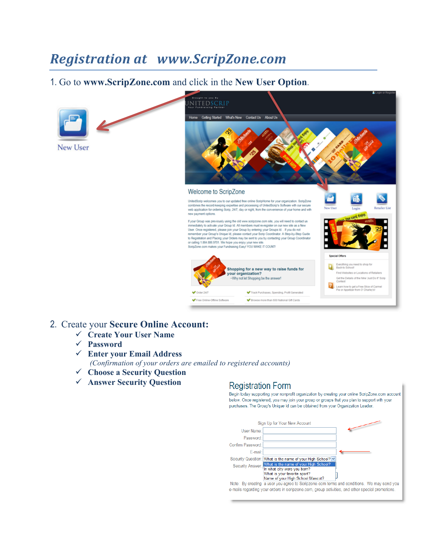# *Registration at www.ScripZone.com*

## 1. Go to **www.ScripZone.com** and click in the **New User Option**.





### 2. Create your **Secure Online Account:**

- ü **Create Your User Name**
- ü **Password**
- ü **Enter your Email Address** *(Confirmation of your orders are emailed to registered accounts)*
- ü **Choose a Security Question**
- ü **Answer Security Question**

## **Registration Form**

Begin today supporting your nonprofit organization by creating your online ScripZone.com account below. Once registered, you may join your group or groups that you plan to support with your purchases. The Group's Unique Id can be obtained from your Organization Leader.

|                   | Sign Up for Your New Account                                                                                                                              |
|-------------------|-----------------------------------------------------------------------------------------------------------------------------------------------------------|
| User Name:        |                                                                                                                                                           |
| Password:         |                                                                                                                                                           |
| Confirm Password: |                                                                                                                                                           |
| E-mail:           |                                                                                                                                                           |
|                   | Security Question: What is the name of your High School? v                                                                                                |
|                   | Security Answer: What is the name of your High School?<br>In what city were you born?<br>What is your favorite sport?<br>Name of your High School Mascot? |
|                   | Note: By creating a user you agree to Scripzone.com terms and conditions. We may send you                                                                 |
|                   | e-mails regarding your orders in scripzone.com, group activities, and other special promotions.                                                           |